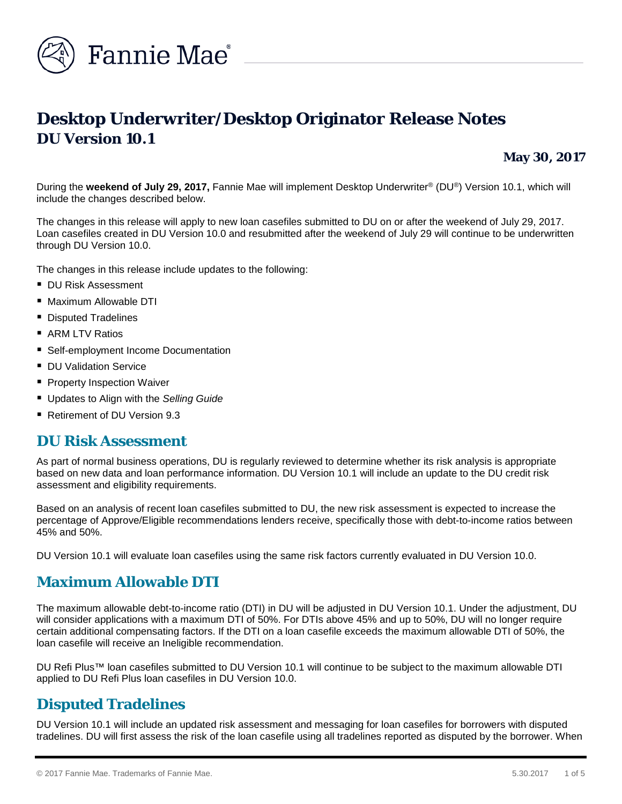

# **Desktop Underwriter/Desktop Originator Release Notes DU Version 10.1**

**May 30, 2017**

During the **weekend of July 29, 2017,** Fannie Mae will implement Desktop Underwriter® (DU®) Version 10.1, which will include the changes described below.

The changes in this release will apply to new loan casefiles submitted to DU on or after the weekend of July 29, 2017. Loan casefiles created in DU Version 10.0 and resubmitted after the weekend of July 29 will continue to be underwritten through DU Version 10.0.

The changes in this release include updates to the following:

- **DU Risk Assessment**
- Maximum Allowable DTI
- **Disputed Tradelines**
- ARM LTV Ratios
- **Self-employment Income Documentation**
- **DU Validation Service**
- **Property Inspection Waiver**
- Updates to Align with the *Selling Guide*
- Retirement of DU Version 9.3

### **DU Risk Assessment**

As part of normal business operations, DU is regularly reviewed to determine whether its risk analysis is appropriate based on new data and loan performance information. DU Version 10.1 will include an update to the DU credit risk assessment and eligibility requirements.

Based on an analysis of recent loan casefiles submitted to DU, the new risk assessment is expected to increase the percentage of Approve/Eligible recommendations lenders receive, specifically those with debt-to-income ratios between 45% and 50%.

DU Version 10.1 will evaluate loan casefiles using the same risk factors currently evaluated in DU Version 10.0.

### **Maximum Allowable DTI**

The maximum allowable debt-to-income ratio (DTI) in DU will be adjusted in DU Version 10.1. Under the adjustment, DU will consider applications with a maximum DTI of 50%. For DTIs above 45% and up to 50%, DU will no longer require certain additional compensating factors. If the DTI on a loan casefile exceeds the maximum allowable DTI of 50%, the loan casefile will receive an Ineligible recommendation.

DU Refi Plus™ loan casefiles submitted to DU Version 10.1 will continue to be subject to the maximum allowable DTI applied to DU Refi Plus loan casefiles in DU Version 10.0.

## **Disputed Tradelines**

DU Version 10.1 will include an updated risk assessment and messaging for loan casefiles for borrowers with disputed tradelines. DU will first assess the risk of the loan casefile using all tradelines reported as disputed by the borrower. When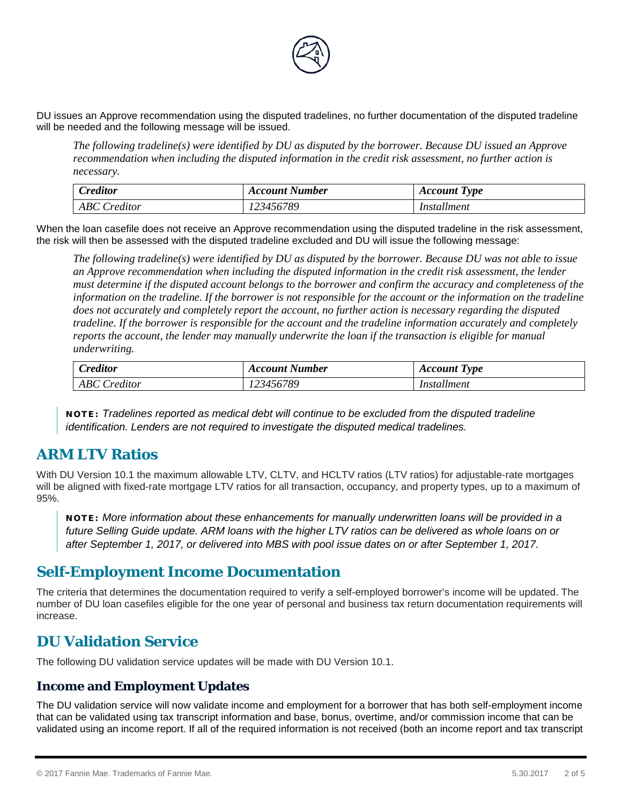

DU issues an Approve recommendation using the disputed tradelines, no further documentation of the disputed tradeline will be needed and the following message will be issued.

*The following tradeline(s) were identified by DU as disputed by the borrower. Because DU issued an Approve recommendation when including the disputed information in the credit risk assessment, no further action is necessary.*

| $\mathcal{L}$ reditor | Account Number | <b>Account Type</b> |
|-----------------------|----------------|---------------------|
| <b>ABC</b> Creditor   | 123456789      | Installment         |

When the loan casefile does not receive an Approve recommendation using the disputed tradeline in the risk assessment, the risk will then be assessed with the disputed tradeline excluded and DU will issue the following message:

*The following tradeline(s) were identified by DU as disputed by the borrower. Because DU was not able to issue an Approve recommendation when including the disputed information in the credit risk assessment, the lender must determine if the disputed account belongs to the borrower and confirm the accuracy and completeness of the information on the tradeline. If the borrower is not responsible for the account or the information on the tradeline does not accurately and completely report the account, no further action is necessary regarding the disputed tradeline. If the borrower is responsible for the account and the tradeline information accurately and completely reports the account, the lender may manually underwrite the loan if the transaction is eligible for manual underwriting.*

| $\mathbf{v}$<br>reditor        | Account Number | <b>Account Type</b> |
|--------------------------------|----------------|---------------------|
| $D^{\prime}$<br>reditor<br>ADU | .23456789      | Installment         |

NOTE: *Tradelines reported as medical debt will continue to be excluded from the disputed tradeline identification. Lenders are not required to investigate the disputed medical tradelines.*

## **ARM LTV Ratios**

With DU Version 10.1 the maximum allowable LTV, CLTV, and HCLTV ratios (LTV ratios) for adjustable-rate mortgages will be aligned with fixed-rate mortgage LTV ratios for all transaction, occupancy, and property types, up to a maximum of 95%.

NOTE: *More information about these enhancements for manually underwritten loans will be provided in a future Selling Guide update. ARM loans with the higher LTV ratios can be delivered as whole loans on or after September 1, 2017, or delivered into MBS with pool issue dates on or after September 1, 2017.*

## **Self-Employment Income Documentation**

The criteria that determines the documentation required to verify a self-employed borrower's income will be updated. The number of DU loan casefiles eligible for the one year of personal and business tax return documentation requirements will increase.

## **DU Validation Service**

The following DU validation service updates will be made with DU Version 10.1.

### **Income and Employment Updates**

The DU validation service will now validate income and employment for a borrower that has both self-employment income that can be validated using tax transcript information and base, bonus, overtime, and/or commission income that can be validated using an income report. If all of the required information is not received (both an income report and tax transcript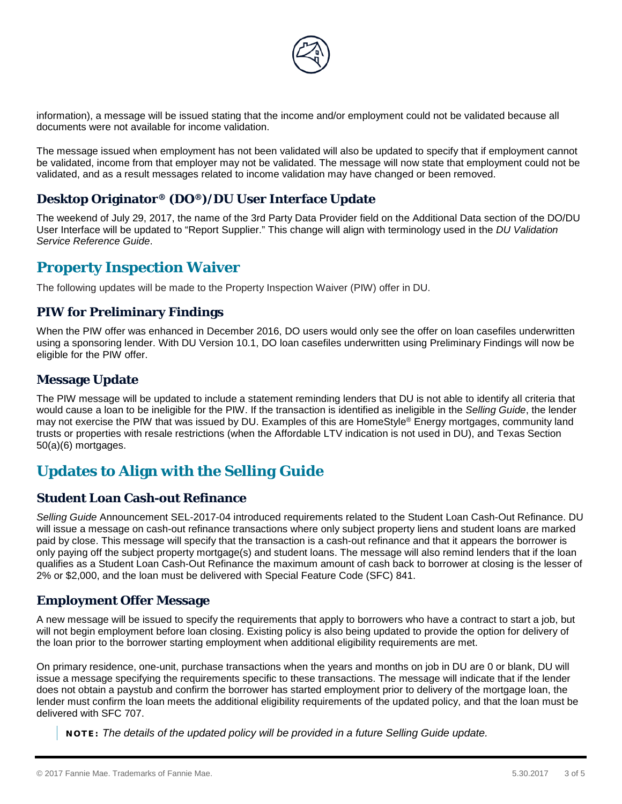

information), a message will be issued stating that the income and/or employment could not be validated because all documents were not available for income validation.

The message issued when employment has not been validated will also be updated to specify that if employment cannot be validated, income from that employer may not be validated. The message will now state that employment could not be validated, and as a result messages related to income validation may have changed or been removed.

### **Desktop Originator® (DO®)/DU User Interface Update**

The weekend of July 29, 2017, the name of the 3rd Party Data Provider field on the Additional Data section of the DO/DU User Interface will be updated to "Report Supplier." This change will align with terminology used in the *DU Validation Service Reference Guide*.

## **Property Inspection Waiver**

The following updates will be made to the Property Inspection Waiver (PIW) offer in DU.

### **PIW for Preliminary Findings**

When the PIW offer was enhanced in December 2016, DO users would only see the offer on loan casefiles underwritten using a sponsoring lender. With DU Version 10.1, DO loan casefiles underwritten using Preliminary Findings will now be eligible for the PIW offer.

### **Message Update**

The PIW message will be updated to include a statement reminding lenders that DU is not able to identify all criteria that would cause a loan to be ineligible for the PIW. If the transaction is identified as ineligible in the *Selling Guide*, the lender may not exercise the PIW that was issued by DU. Examples of this are HomeStyle® Energy mortgages, community land trusts or properties with resale restrictions (when the Affordable LTV indication is not used in DU), and Texas Section 50(a)(6) mortgages.

## **Updates to Align with the** *Selling Guide*

### **Student Loan Cash-out Refinance**

*Selling Guide* Announcement SEL-2017-04 introduced requirements related to the Student Loan Cash-Out Refinance. DU will issue a message on cash-out refinance transactions where only subject property liens and student loans are marked paid by close. This message will specify that the transaction is a cash-out refinance and that it appears the borrower is only paying off the subject property mortgage(s) and student loans. The message will also remind lenders that if the loan qualifies as a Student Loan Cash-Out Refinance the maximum amount of cash back to borrower at closing is the lesser of 2% or \$2,000, and the loan must be delivered with Special Feature Code (SFC) 841.

### **Employment Offer Message**

A new message will be issued to specify the requirements that apply to borrowers who have a contract to start a job, but will not begin employment before loan closing. Existing policy is also being updated to provide the option for delivery of the loan prior to the borrower starting employment when additional eligibility requirements are met.

On primary residence, one-unit, purchase transactions when the years and months on job in DU are 0 or blank, DU will issue a message specifying the requirements specific to these transactions. The message will indicate that if the lender does not obtain a paystub and confirm the borrower has started employment prior to delivery of the mortgage loan, the lender must confirm the loan meets the additional eligibility requirements of the updated policy, and that the loan must be delivered with SFC 707.

NOTE: *The details of the updated policy will be provided in a future Selling Guide update.*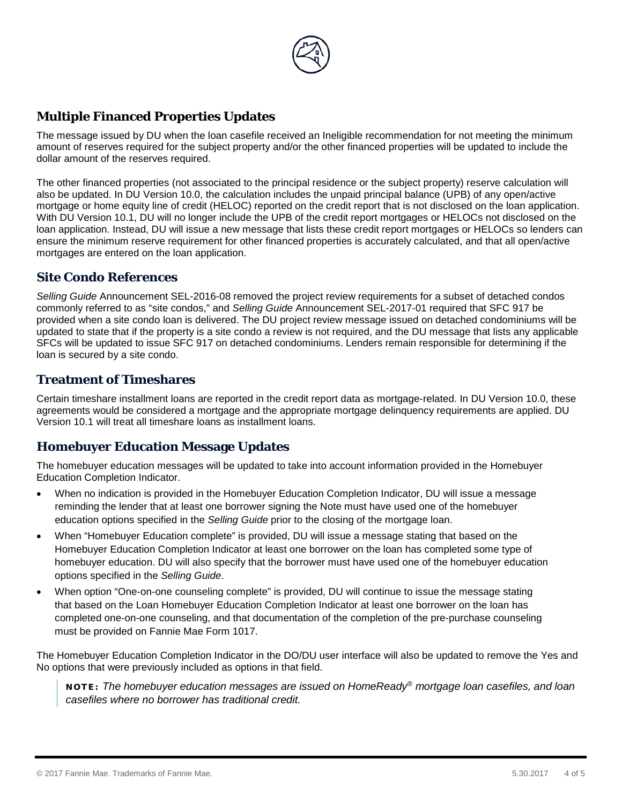

### **Multiple Financed Properties Updates**

The message issued by DU when the loan casefile received an Ineligible recommendation for not meeting the minimum amount of reserves required for the subject property and/or the other financed properties will be updated to include the dollar amount of the reserves required.

The other financed properties (not associated to the principal residence or the subject property) reserve calculation will also be updated. In DU Version 10.0, the calculation includes the unpaid principal balance (UPB) of any open/active mortgage or home equity line of credit (HELOC) reported on the credit report that is not disclosed on the loan application. With DU Version 10.1, DU will no longer include the UPB of the credit report mortgages or HELOCs not disclosed on the loan application. Instead, DU will issue a new message that lists these credit report mortgages or HELOCs so lenders can ensure the minimum reserve requirement for other financed properties is accurately calculated, and that all open/active mortgages are entered on the loan application.

### **Site Condo References**

*Selling Guide* Announcement SEL-2016-08 removed the project review requirements for a subset of detached condos commonly referred to as "site condos," and *Selling Guide* Announcement SEL-2017-01 required that SFC 917 be provided when a site condo loan is delivered. The DU project review message issued on detached condominiums will be updated to state that if the property is a site condo a review is not required, and the DU message that lists any applicable SFCs will be updated to issue SFC 917 on detached condominiums. Lenders remain responsible for determining if the loan is secured by a site condo.

### **Treatment of Timeshares**

Certain timeshare installment loans are reported in the credit report data as mortgage-related. In DU Version 10.0, these agreements would be considered a mortgage and the appropriate mortgage delinquency requirements are applied. DU Version 10.1 will treat all timeshare loans as installment loans.

### **Homebuyer Education Message Updates**

The homebuyer education messages will be updated to take into account information provided in the Homebuyer Education Completion Indicator.

- When no indication is provided in the Homebuyer Education Completion Indicator, DU will issue a message reminding the lender that at least one borrower signing the Note must have used one of the homebuyer education options specified in the *Selling Guide* prior to the closing of the mortgage loan.
- When "Homebuyer Education complete" is provided, DU will issue a message stating that based on the Homebuyer Education Completion Indicator at least one borrower on the loan has completed some type of homebuyer education. DU will also specify that the borrower must have used one of the homebuyer education options specified in the *Selling Guide*.
- When option "One-on-one counseling complete" is provided, DU will continue to issue the message stating that based on the Loan Homebuyer Education Completion Indicator at least one borrower on the loan has completed one-on-one counseling, and that documentation of the completion of the pre-purchase counseling must be provided on Fannie Mae Form 1017.

The Homebuyer Education Completion Indicator in the DO/DU user interface will also be updated to remove the Yes and No options that were previously included as options in that field.

NOTE: *The homebuyer education messages are issued on HomeReady® mortgage loan casefiles, and loan casefiles where no borrower has traditional credit.*